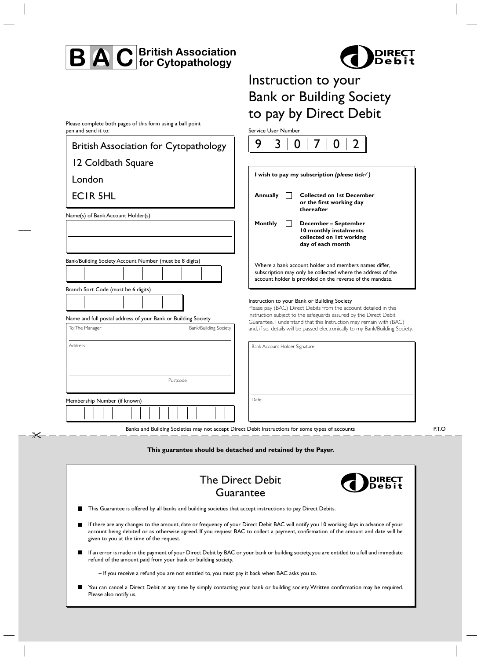## **BAC** British Association



## Instruction to your Bank or Building Society to pay by Direct Debit

Service User Number

Please complete both pages of this form using a ball point pen and send it to:

Ӿ

| <b>British Association for Cytopathology</b>                                                         | 9<br>3                                                                                                                                                                                |  |
|------------------------------------------------------------------------------------------------------|---------------------------------------------------------------------------------------------------------------------------------------------------------------------------------------|--|
| 12 Coldbath Square                                                                                   |                                                                                                                                                                                       |  |
| London                                                                                               | I wish to pay my subscription (please tick $\checkmark$ )                                                                                                                             |  |
| <b>ECIR 5HL</b>                                                                                      | <b>Annually</b><br><b>Collected on 1st December</b><br>or the first working day                                                                                                       |  |
| Name(s) of Bank Account Holder(s)                                                                    | thereafter<br>Monthly<br>December - September<br>10 monthly instalments<br>collected on 1st working<br>day of each month                                                              |  |
| Bank/Building Society Account Number (must be 8 digits)                                              | Where a bank account holder and members names differ,<br>subscription may only be collected where the address of the<br>account holder is provided on the reverse of the mandate.     |  |
| Branch Sort Code (must be 6 digits)<br>Name and full postal address of your Bank or Building Society | Instruction to your Bank or Building Society<br>Please pay (BAC) Direct Debits from the account detailed in this<br>instruction subject to the safeguards assured by the Direct Debit |  |
| To: The Manager<br>Bank/Building Society                                                             | Guarantee. I understand that this Instruction may remain with (BAC)<br>and, if so, details will be passed electronically to my Bank/Building Society.                                 |  |
| Address                                                                                              | Bank Account Holder Signature                                                                                                                                                         |  |
| Postcode                                                                                             |                                                                                                                                                                                       |  |
| Membership Number (if known)                                                                         | Date                                                                                                                                                                                  |  |

Banks and Building Societies may not accept Direct Debit Instructions for some types of accounts

**This guarantee should be detached and retained by the Payer.**

| <b>The Direct Debit</b><br><b>PED DIRECT</b><br>Guarantee                                                                                                                                                                                                                                                               |
|-------------------------------------------------------------------------------------------------------------------------------------------------------------------------------------------------------------------------------------------------------------------------------------------------------------------------|
| This Guarantee is offered by all banks and building societies that accept instructions to pay Direct Debits.                                                                                                                                                                                                            |
| If there are any changes to the amount, date or frequency of your Direct Debit BAC will notify you 10 working days in advance of your<br>account being debited or as otherwise agreed. If you request BAC to collect a payment, confirmation of the amount and date will be<br>given to you at the time of the request. |
| If an error is made in the payment of your Direct Debit by BAC or your bank or building society, you are entitled to a full and immediate<br>refund of the amount paid from your bank or building society.                                                                                                              |
| - If you receive a refund you are not entitled to, you must pay it back when BAC asks you to.                                                                                                                                                                                                                           |
| You can cancel a Direct Debit at any time by simply contacting your bank or building society. Written confirmation may be required.<br>Please also notify us.                                                                                                                                                           |